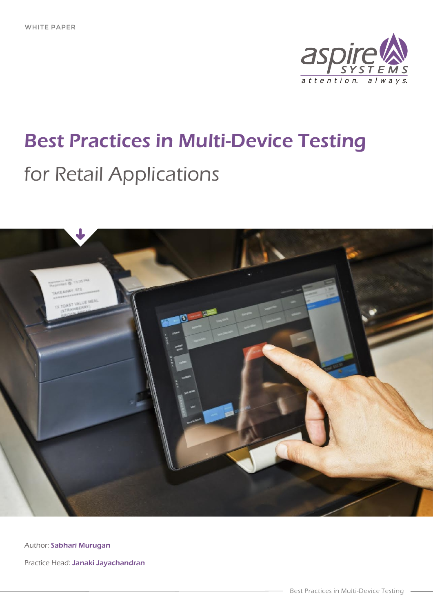

# Best Practices in Multi-Device Testing for Retail Applications



Author: **Sabhari Murugan** 

Practice Head: Janaki Jayachandran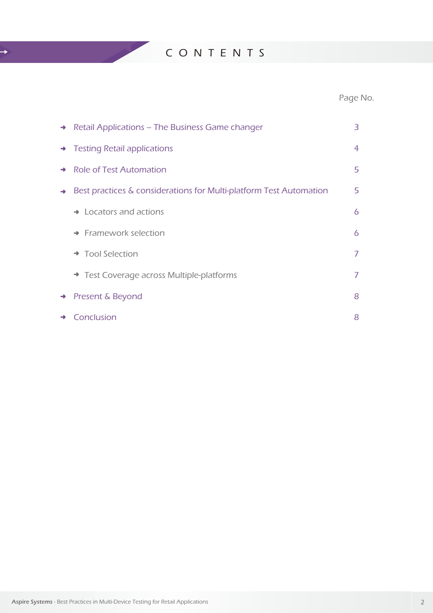C O N T E N T S

 $\rightarrow$ 

## Page No.

|               | $\rightarrow$ Retail Applications – The Business Game changer      | 3              |
|---------------|--------------------------------------------------------------------|----------------|
|               | $\rightarrow$ Testing Retail applications                          | $\overline{4}$ |
|               | → Role of Test Automation                                          | 5              |
| $\rightarrow$ | Best practices & considerations for Multi-platform Test Automation | 5              |
|               | $\rightarrow$ Locators and actions                                 | 6              |
|               | $\rightarrow$ Framework selection                                  | 6              |
|               | → Tool Selection                                                   | 7              |
|               | Test Coverage across Multiple-platforms                            | 7              |
| $\rightarrow$ | Present & Beyond                                                   | 8              |
| $\rightarrow$ | Conclusion                                                         | 8              |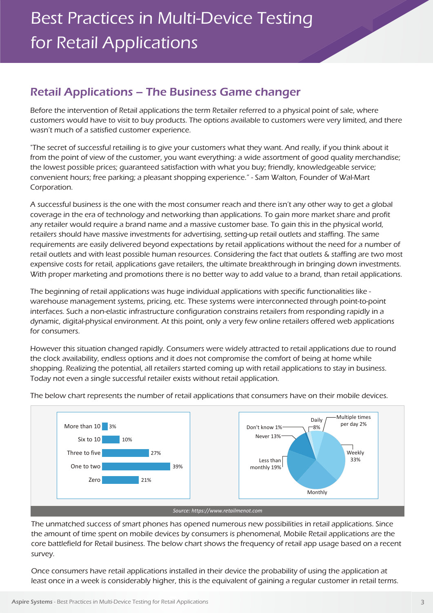## Retail Applications – The Business Game changer

Before the intervention of Retail applications the term Retailer referred to a physical point of sale, where customers would have to visit to buy products. The options available to customers were very limited, and there wasn't much of a satisfied customer experience.

"The secret of successful retailing is to give your customers what they want. And really, if you think about it from the point of view of the customer, you want everything: a wide assortment of good quality merchandise; the lowest possible prices; guaranteed satisfaction with what you buy; friendly, knowledgeable service; convenient hours; free parking; a pleasant shopping experience." - Sam Walton, Founder of Wal-Mart Corporation.

A successful business is the one with the most consumer reach and there isn't any other way to get a global coverage in the era of technology and networking than applications. To gain more market share and profit any retailer would require a brand name and a massive customer base. To gain this in the physical world, retailers should have massive investments for advertising, setting-up retail outlets and staffing. The same requirements are easily delivered beyond expectations by retail applications without the need for a number of retail outlets and with least possible human resources. Considering the fact that outlets & staffing are two most expensive costs for retail, applications gave retailers, the ultimate breakthrough in bringing down investments. With proper marketing and promotions there is no better way to add value to a brand, than retail applications.

The beginning of retail applications was huge individual applications with specific functionalities like warehouse management systems, pricing, etc. These systems were interconnected through point-to-point interfaces. Such a non-elastic infrastructure configuration constrains retailers from responding rapidly in a dynamic, digital-physical environment. At this point, only a very few online retailers offered web applications for consumers.

However this situation changed rapidly. Consumers were widely attracted to retail applications due to round the clock availability, endless options and it does not compromise the comfort of being at home while shopping. Realizing the potential, all retailers started coming up with retail applications to stay in business. Today not even a single successful retailer exists without retail application.



The below chart represents the number of retail applications that consumers have on their mobile devices.

The unmatched success of smart phones has opened numerous new possibilities in retail applications. Since the amount of time spent on mobile devices by consumers is phenomenal, Mobile Retail applications are the core battlefield for Retail business. The below chart shows the frequency of retail app usage based on a recent survey.

Once consumers have retail applications installed in their device the probability of using the application at least once in a week is considerably higher, this is the equivalent of gaining a regular customer in retail terms.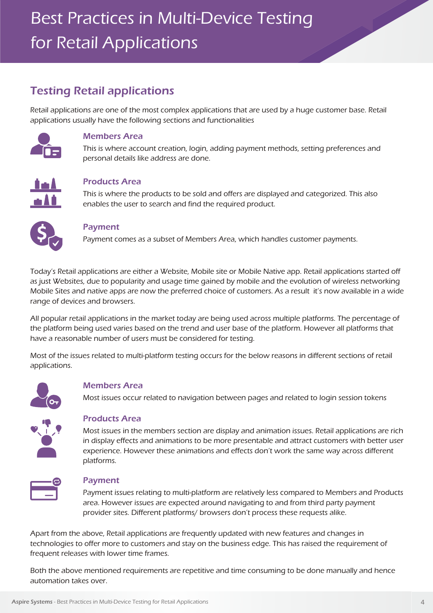## Best Practices in Multi-Device Testing for Retail Applications

## Testing Retail applications

Retail applications are one of the most complex applications that are used by a huge customer base. Retail applications usually have the following sections and functionalities



#### Members Area

This is where account creation, login, adding payment methods, setting preferences and personal details like address are done.



#### Products Area

This is where the products to be sold and offers are displayed and categorized. This also enables the user to search and find the required product.



#### Payment

Payment comes as a subset of Members Area, which handles customer payments.

Today's Retail applications are either a Website, Mobile site or Mobile Native app. Retail applications started off as just Websites, due to popularity and usage time gained by mobile and the evolution of wireless networking Mobile Sites and native apps are now the preferred choice of customers. As a result it's now available in a wide range of devices and browsers.

All popular retail applications in the market today are being used across multiple platforms. The percentage of the platform being used varies based on the trend and user base of the platform. However all platforms that have a reasonable number of users must be considered for testing.

Most of the issues related to multi-platform testing occurs for the below reasons in different sections of retail applications.



#### Members Area

Most issues occur related to navigation between pages and related to login session tokens



#### Products Area

Most issues in the members section are display and animation issues. Retail applications are rich in display effects and animations to be more presentable and attract customers with better user experience. However these animations and effects don't work the same way across different platforms.



#### Payment

Payment issues relating to multi-platform are relatively less compared to Members and Products area. However issues are expected around navigating to and from third party payment provider sites. Different platforms/ browsers don't process these requests alike.

Apart from the above, Retail applications are frequently updated with new features and changes in technologies to offer more to customers and stay on the business edge. This has raised the requirement of frequent releases with lower time frames.

Both the above mentioned requirements are repetitive and time consuming to be done manually and hence automation takes over.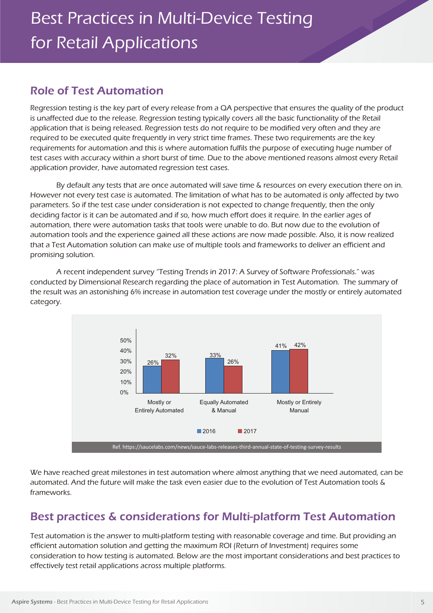## Role of Test Automation

Regression testing is the key part of every release from a QA perspective that ensures the quality of the product is unaffected due to the release. Regression testing typically covers all the basic functionality of the Retail application that is being released. Regression tests do not require to be modified very often and they are required to be executed quite frequently in very strict time frames. These two requirements are the key requirements for automation and this is where automation fulfils the purpose of executing huge number of test cases with accuracy within a short burst of time. Due to the above mentioned reasons almost every Retail application provider, have automated regression test cases.

By default any tests that are once automated will save time & resources on every execution there on in. However not every test case is automated. The limitation of what has to be automated is only affected by two parameters. So if the test case under consideration is not expected to change frequently, then the only deciding factor is it can be automated and if so, how much effort does it require. In the earlier ages of automation, there were automation tasks that tools were unable to do. But now due to the evolution of automation tools and the experience gained all these actions are now made possible. Also, it is now realized that a Test Automation solution can make use of multiple tools and frameworks to deliver an efficient and promising solution.

A recent independent survey "Testing Trends in 2017: A Survey of Software Professionals." was conducted by Dimensional Research regarding the place of automation in Test Automation. The summary of the result was an astonishing 6% increase in automation test coverage under the mostly or entirely automated category.



We have reached great milestones in test automation where almost anything that we need automated, can be automated. And the future will make the task even easier due to the evolution of Test Automation tools & frameworks.

## Best practices & considerations for Multi-platform Test Automation

Test automation is the answer to multi-platform testing with reasonable coverage and time. But providing an efficient automation solution and getting the maximum ROI (Return of Investment) requires some consideration to how testing is automated. Below are the most important considerations and best practices to effectively test retail applications across multiple platforms.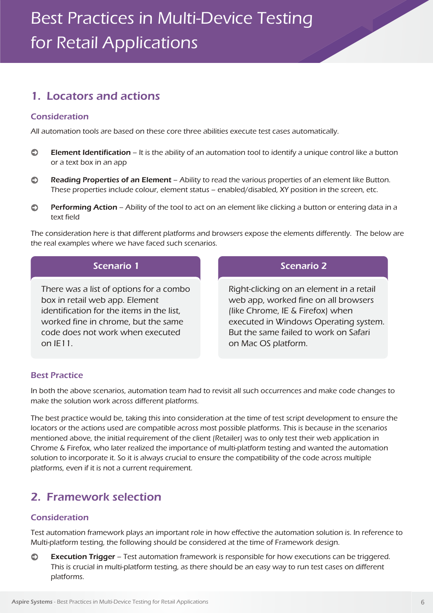## 1. Locators and actions

#### Consideration

All automation tools are based on these core three abilities execute test cases automatically.

- $\bullet$ Element Identification – It is the ability of an automation tool to identify a unique control like a button or a text box in an app
- $\bullet$ Reading Properties of an Element – Ability to read the various properties of an element like Button. These properties include colour, element status – enabled/disabled, XY position in the screen, etc.
- Performing Action Ability of the tool to act on an element like clicking a button or entering data in a  $\odot$ text field

The consideration here is that different platforms and browsers expose the elements differently. The below are the real examples where we have faced such scenarios.

| Scenario 1 |  |
|------------|--|
|            |  |

There was a list of options for a combo box in retail web app. Element identification for the items in the list, worked fine in chrome, but the same code does not work when executed  $on IF11$ 

#### Scenario 2

Right-clicking on an element in a retail web app, worked fine on all browsers (like Chrome, IE & Firefox) when executed in Windows Operating system. But the same failed to work on Safari on Mac OS platform.

#### Best Practice

In both the above scenarios, automation team had to revisit all such occurrences and make code changes to make the solution work across different platforms.

The best practice would be, taking this into consideration at the time of test script development to ensure the locators or the actions used are compatible across most possible platforms. This is because in the scenarios mentioned above, the initial requirement of the client (Retailer) was to only test their web application in Chrome & Firefox, who later realized the importance of multi-platform testing and wanted the automation solution to incorporate it. So it is always crucial to ensure the compatibility of the code across multiple platforms, even if it is not a current requirement.

## 2. Framework selection

#### Consideration

Test automation framework plays an important role in how effective the automation solution is. In reference to Multi-platform testing, the following should be considered at the time of Framework design.

Execution Trigger – Test automation framework is responsible for how executions can be triggered.  $\bullet$ This is crucial in multi-platform testing, as there should be an easy way to run test cases on different platforms.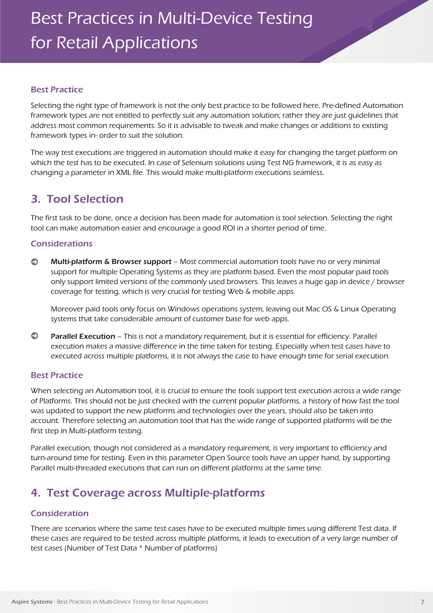#### Best Practice

Selecting the right type of framework is not the only best practice to be followed here. Pre-defined Automation framework types are not entitled to perfectly suit any automation solution; rather they are just guidelines that address most common requirements. So it is advisable to tweak and make changes or additions to existing framework types in- order to suit the solution.

The way test executions are triggered in automation should make it easy for changing the target platform on which the test has to be executed. In case of Selenium solutions using Test NG framework, it is as easy as changing a parameter in XML file. This would make multi-platform executions seamless.

## 3. Tool Selection

The first task to be done, once a decision has been made for automation is tool selection. Selecting the right tool can make automation easier and encourage a good ROI in a shorter period of time.

#### Considerations

 $\odot$ Multi-platform & Browser support – Most commercial automation tools have no or very minimal support for multiple Operating Systems as they are platform based. Even the most popular paid tools only support limited versions of the commonly used browsers. This leaves a huge gap in device / browser coverage for testing, which is very crucial for testing Web & mobile apps.

Moreover paid tools only focus on Windows operations system, leaving out Mac OS & Linux Operating systems that take considerable amount of customer base for web apps.

 $\bullet$ Parallel Execution - This is not a mandatory requirement, but it is essential for efficiency. Parallel execution makes a massive difference in the time taken for testing. Especially when test cases have to executed across multiple platforms, it is not always the case to have enough time for serial execution.

#### Best Practice

When selecting an Automation tool, it is crucial to ensure the tools support test execution across a wide range of Platforms. This should not be just checked with the current popular platforms, a history of how fast the tool was updated to support the new platforms and technologies over the years, should also be taken into account. Therefore selecting an automation tool that has the wide range of supported platforms will be the first step in Multi-platform testing.

Parallel execution, though not considered as a mandatory requirement, is very important to efficiency and turn-around time for testing. Even in this parameter Open Source tools have an upper hand, by supporting Parallel multi-threaded executions that can run on different platforms at the same time.

## 4. Test Coverage across Multiple-platforms

#### Consideration

There are scenarios where the same test cases have to be executed multiple times using different Test data. If these cases are required to be tested across multiple platforms, it leads to execution of a very large number of test cases (Number of Test Data \* Number of platforms)